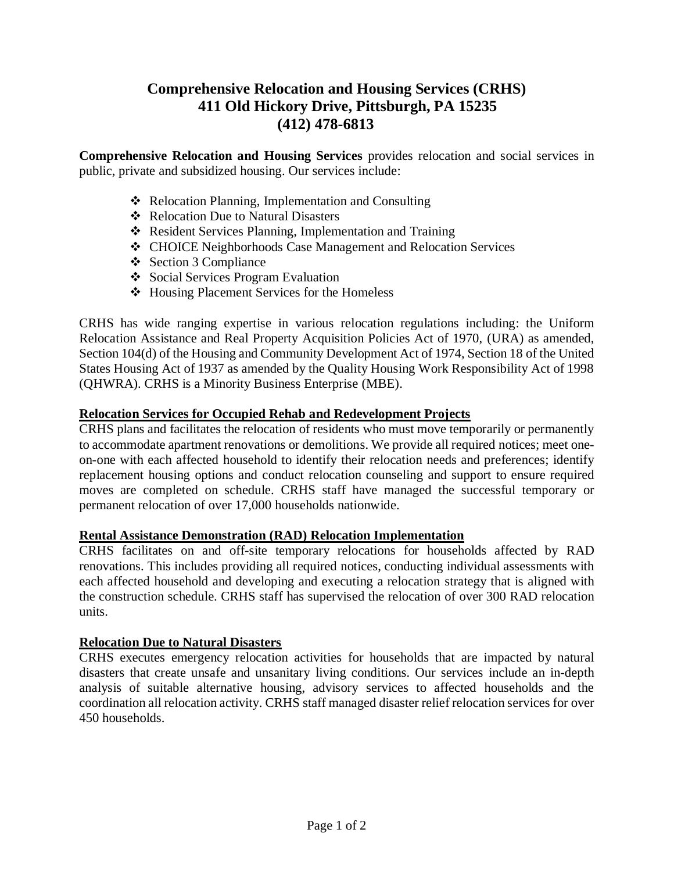# **Comprehensive Relocation and Housing Services (CRHS) 411 Old Hickory Drive, Pittsburgh, PA 15235 (412) 478-6813**

**Comprehensive Relocation and Housing Services** provides relocation and social services in public, private and subsidized housing. Our services include:

- ❖ Relocation Planning, Implementation and Consulting
- ❖ Relocation Due to Natural Disasters
- ❖ Resident Services Planning, Implementation and Training
- ❖ CHOICE Neighborhoods Case Management and Relocation Services
- ❖ Section 3 Compliance
- ❖ Social Services Program Evaluation
- ❖ Housing Placement Services for the Homeless

CRHS has wide ranging expertise in various relocation regulations including: the Uniform Relocation Assistance and Real Property Acquisition Policies Act of 1970, (URA) as amended, Section 104(d) of the Housing and Community Development Act of 1974, Section 18 of the United States Housing Act of 1937 as amended by the Quality Housing Work Responsibility Act of 1998 (QHWRA). CRHS is a Minority Business Enterprise (MBE).

# **Relocation Services for Occupied Rehab and Redevelopment Projects**

CRHS plans and facilitates the relocation of residents who must move temporarily or permanently to accommodate apartment renovations or demolitions. We provide all required notices; meet oneon-one with each affected household to identify their relocation needs and preferences; identify replacement housing options and conduct relocation counseling and support to ensure required moves are completed on schedule. CRHS staff have managed the successful temporary or permanent relocation of over 17,000 households nationwide.

# **Rental Assistance Demonstration (RAD) Relocation Implementation**

CRHS facilitates on and off-site temporary relocations for households affected by RAD renovations. This includes providing all required notices, conducting individual assessments with each affected household and developing and executing a relocation strategy that is aligned with the construction schedule. CRHS staff has supervised the relocation of over 300 RAD relocation units.

# **Relocation Due to Natural Disasters**

CRHS executes emergency relocation activities for households that are impacted by natural disasters that create unsafe and unsanitary living conditions. Our services include an in-depth analysis of suitable alternative housing, advisory services to affected households and the coordination all relocation activity. CRHS staff managed disaster relief relocation services for over 450 households.